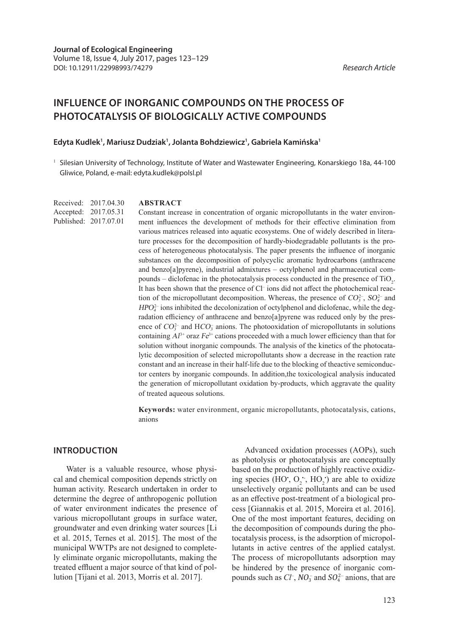# **INFLUENCE OF INORGANIC COMPOUNDS ON THE PROCESS OF PHOTOCATALYSIS OF BIOLOGICALLY ACTIVE COMPOUNDS**

#### **Edyta Kudlek1 , Mariusz Dudziak1 , Jolanta Bohdziewicz1 , Gabriela Kamińska1**

 $1$  Silesian University of Technology, Institute of Water and Wastewater Engineering, Konarskiego 18a, 44-100 Gliwice, Poland, e-mail: edyta.kudlek@polsl.pl

Received: 2017.04.30 Accepted: 2017.05.31 Published: 2017.07.01

#### **ABSTRACT**

Constant increase in concentration of organic micropollutants in the water environment influences the development of methods for their effective elimination from various matrices released into aquatic ecosystems. One of widely described in literature processes for the decomposition of hardly-biodegradable pollutants is the process of heterogeneous photocatalysis. The paper presents the influence of inorganic substances on the decomposition of polycyclic aromatic hydrocarbons (anthracene and benzo[a]pyrene), industrial admixtures – octylphenol and pharmaceutical compounds – diclofenac in the photocatalysis process conducted in the presence of  $TiO<sub>2</sub>$ . It has been shown that the presence of Cl<sup>-</sup> ions did not affect the photochemical reaction of the micropollutant decomposition. Whereas, the presence of  $CO_3^{2-}$ ,  $SO_4^{2-}$  and  $HPO<sub>4</sub><sup>2</sup>$  ions inhibited the decolonization of octylphenol and diclofenac, while the degradation efficiency of anthracene and benzo[a]pyrene was reduced only by the presence of  $CO_3^{2-}$  and  $HCO_3^-$  anions. The photooxidation of micropollutants in solutions containing  $Al^{3+}$  oraz  $Fe^{3+}$  cations proceeded with a much lower efficiency than that for solution without inorganic compounds. The analysis of the kinetics of the photocatalytic decomposition of selected micropollutants show a decrease in the reaction rate constant and an increase in their half-life due to the blocking of theactive semiconductor centers by inorganic compounds. In addition,the toxicological analysis inducated the generation of micropollutant oxidation by-products, which aggravate the quality of treated aqueous solutions.

**Keywords:** water environment, organic micropollutants, photocatalysis, cations, anions

### **INTRODUCTION**

Water is a valuable resource, whose physical and chemical composition depends strictly on human activity. Research undertaken in order to determine the degree of anthropogenic pollution of water environment indicates the presence of various micropollutant groups in surface water, groundwater and even drinking water sources [Li et al. 2015, Ternes et al. 2015]. The most of the municipal WWTPs are not designed to completely eliminate organic micropollutants, making the treated effluent a major source of that kind of pollution [Tijani et al. 2013, Morris et al. 2017].

Advanced oxidation processes (AOPs), such as photolysis or photocatalysis are conceptually based on the production of highly reactive oxidizing species (HO',  $O_2^{\cdot\cdot}$ , HO<sub>2</sub>') are able to oxidize unselectively organic pollutants and can be used as an effective post-treatment of a biological process [Giannakis et al. 2015, Moreira et al. 2016]. One of the most important features, deciding on the decomposition of compounds during the photocatalysis process, is the adsorption of micropollutants in active centres of the applied catalyst. The process of micropollutants adsorption may be hindered by the presence of inorganic compounds such as *Cl<sup>-</sup>*, *NO*<sub>3</sub> and *SO*<sub>4</sub><sup>2</sup>- anions, that are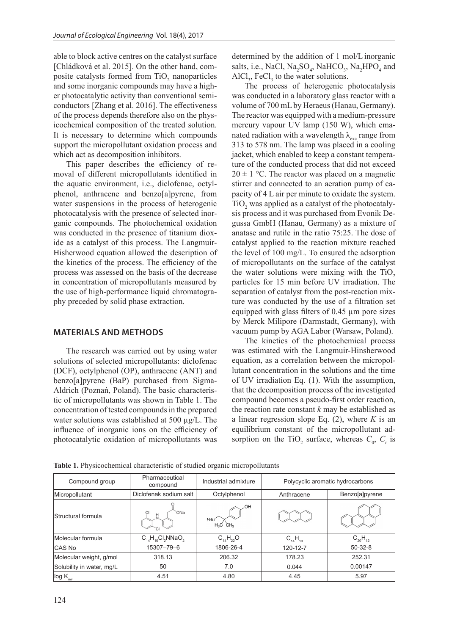able to block active centres on the catalyst surface [Chládková et al. 2015]. On the other hand, composite catalysts formed from  $TiO_2$  nanoparticles and some inorganic compounds may have a higher photocatalytic activity than conventional semiconductors [Zhang et al. 2016]. The effectiveness of the process depends therefore also on the physicochemical composition of the treated solution. It is necessary to determine which compounds support the micropollutant oxidation process and which act as decomposition inhibitors.

This paper describes the efficiency of removal of different micropollutants identified in the aquatic environment, i.e., diclofenac, octylphenol, anthracene and benzo[a]pyrene, from water suspensions in the process of heterogenic photocatalysis with the presence of selected inorganic compounds. The photochemical oxidation was conducted in the presence of titanium dioxide as a catalyst of this process. The Langmuir-Hisherwood equation allowed the description of the kinetics of the process. The efficiency of the process was assessed on the basis of the decrease in concentration of micropollutants measured by the use of high-performance liquid chromatography preceded by solid phase extraction.

# **MATERIALS AND METHODS**

The research was carried out by using water solutions of selected micropollutants: diclofenac (DCF), octylphenol (OP), anthracene (ANT) and benzo[a]pyrene (BaP) purchased from Sigma-Aldrich (Poznań, Poland). The basic characteristic of micropollutants was shown in Table 1. The concentration of tested compounds in the prepared water solutions was established at 500 µg/L. The influence of inorganic ions on the efficiency of photocatalytic oxidation of micropollutants was

determined by the addition of 1 mol/L inorganic salts, i.e., NaCl,  $\text{Na}_2\text{SO}_4$ , NaHCO<sub>3</sub>, Na<sub>2</sub>HPO<sub>4</sub> and  $AICl<sub>3</sub>$ , FeCl<sub>3</sub> to the water solutions.

The process of heterogenic photocatalysis was conducted in a laboratory glass reactor with a volume of 700 mL by Heraeus (Hanau, Germany). The reactor was equipped with a medium-pressure mercury vapour UV lamp (150 W), which emanated radiation with a wavelength  $\lambda_{\text{av}}$  range from 313 to 578 nm. The lamp was placed in a cooling jacket, which enabled to keep a constant temperature of the conducted process that did not exceed  $20 \pm 1$  °C. The reactor was placed on a magnetic stirrer and connected to an aeration pump of capacity of 4 L air per minute to oxidate the system.  $TiO<sub>2</sub>$  was applied as a catalyst of the photocatalysis process and it was purchased from Evonik Degussa GmbH (Hanau, Germany) as a mixture of anatase and rutile in the ratio 75:25. The dose of catalyst applied to the reaction mixture reached the level of 100 mg/L. To ensured the adsorption of micropollutants on the surface of the catalyst the water solutions were mixing with the  $TiO<sub>2</sub>$ particles for 15 min before UV irradiation. The separation of catalyst from the post-reaction mixture was conducted by the use of a filtration set equipped with glass filters of  $0.45 \mu m$  pore sizes by Merck Milipore (Darmstadt, Germany), with vacuum pump by AGA Labor (Warsaw, Poland).

The kinetics of the photochemical process was estimated with the Langmuir-Hinsherwood equation, as a correlation between the micropollutant concentration in the solutions and the time of UV irradiation Eq. (1). With the assumption, that the decomposition process of the investigated compound becomes a pseudo-first order reaction, the reaction rate constant *k* may be established as a linear regression slope Eq. (2), where *K* is an equilibrium constant of the micropollutant adsorption on the TiO<sub>2</sub> surface, whereas  $C_0$ ,  $C_t$  is

| Compound group            | Pharmaceutical<br>compound | Industrial admixture                  | Polycyclic aromatic hydrocarbons |                |
|---------------------------|----------------------------|---------------------------------------|----------------------------------|----------------|
| Micropollutant            | Diclofenak sodium salt     | Octylphenol                           | Anthracene                       | Benzo[a]pyrene |
| <b>Structural formula</b> | ONa<br>CI                  | ,OH<br>t-Bu<br>$H_3C$ CH <sub>3</sub> |                                  |                |
| Molecular formula         | $C_{14}H_{10}Cl_2NNaO_2$   | $C_{14}H_{22}O$                       | $C_{14}H_{10}$                   | $C_{20}H_{12}$ |
| <b>CAS No</b>             | 15307-79-6                 | 1806-26-4                             | 120-12-7                         | $50 - 32 - 8$  |
| Molecular weight, g/mol   | 318.13                     | 206.32                                | 178.23                           | 252.31         |
| Solubility in water, mg/L | 50                         | 7.0                                   | 0.044                            | 0.00147        |
| log K <sub>ow</sub>       | 4.51                       | 4.80                                  | 4.45                             | 5.97           |

**Table 1.** Physicochemical characteristic of studied organic micropollutants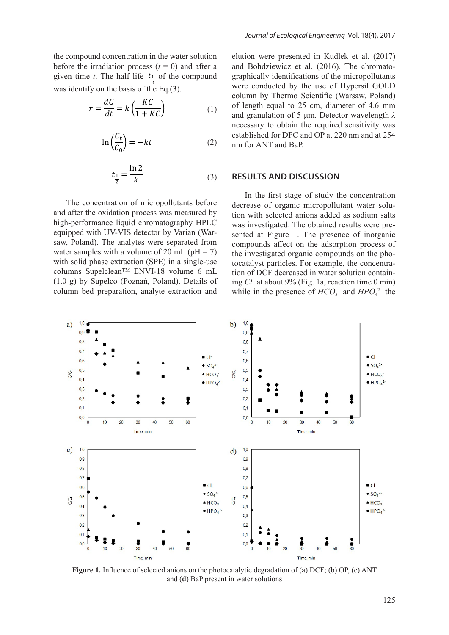the compound concentration in the water solution before the irradiation process  $(t = 0)$  and after a given time *t*. The half life  $t_1$  of the compound was identify on the basis of the Eq.(3).

$$
r = \frac{dC}{dt} = k \left( \frac{KC}{1 + KC} \right) \tag{1}
$$

$$
\ln\left(\frac{C_t}{C_0}\right) = -kt\tag{2}
$$

$$
t_{\frac{1}{2}} = \frac{\ln 2}{k} \tag{3}
$$

The concentration of micropollutants before and after the oxidation process was measured by high-performance liquid chromatography HPLC equipped with UV-VIS detector by Varian (Warsaw, Poland). The analytes were separated from water samples with a volume of 20 mL ( $pH = 7$ ) with solid phase extraction (SPE) in a single-use columns Supelclean™ ENVI-18 volume 6 mL (1.0 g) by Supelco (Poznań, Poland). Details of column bed preparation, analyte extraction and

elution were presented in Kudlek et al. (2017) and Bohdziewicz et al. (2016). The chromatographically identifications of the micropollutants were conducted by the use of Hypersil GOLD column by Thermo Scientific (Warsaw, Poland) of length equal to 25 cm, diameter of 4.6 mm and granulation of 5 μm. Detector wavelength *λ* necessary to obtain the required sensitivity was established for DFC and OP at 220 nm and at 254 nm for ANT and BaP.

## **RESULTS AND DISCUSSION**

In the first stage of study the concentration decrease of organic micropollutant water solution with selected anions added as sodium salts was investigated. The obtained results were presented at Figure 1. The presence of inorganic compounds affect on the adsorption process of the investigated organic compounds on the photocatalyst particles. For example, the concentration of DCF decreased in water solution containing *Cl–* at about 9% (Fig. 1a, reaction time 0 min) while in the presence of  $HCO_3^-$  and  $HPO_4^{2-}$  the



**Figure 1.** Influence of selected anions on the photocatalytic degradation of (a) DCF; (b) OP, (c) ANT and (**d**) BaP present in water solutions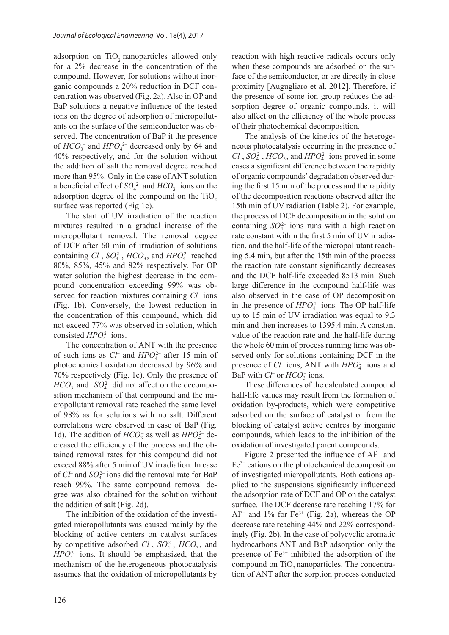adsorption on  $TiO<sub>2</sub>$  nanoparticles allowed only for a 2% decrease in the concentration of the compound. However, for solutions without inorganic compounds a 20% reduction in DCF concentration was observed (Fig. 2a). Also in OP and BaP solutions a negative influence of the tested ions on the degree of adsorption of micropollutants on the surface of the semiconductor was observed. The concentration of BaP it the presence of  $HCO_3^-$  and  $HPO_4^{2-}$  decreased only by 64 and 40% respectively, and for the solution without the addition of salt the removal degree reached more than 95%. Only in the case of ANT solution a beneficial effect of  $SO_4^2$ <sup>-</sup> and  $HCO_3^-$  ions on the adsorption degree of the compound on the  $TiO<sub>2</sub>$ surface was reported (Fig 1c).

The start of UV irradiation of the reaction mixtures resulted in a gradual increase of the micropollutant removal. The removal degree of DCF after 60 min of irradiation of solutions containing  $Cl^{\dagger}$ ,  $SO_4^{2-}$ ,  $HCO_3^-$ , and  $HPO_4^{2-}$  reached 80%, 85%, 45% and 82% respectively. For OP water solution the highest decrease in the compound concentration exceeding 99% was observed for reaction mixtures containing *Cl–* ions (Fig. 1b). Conversely, the lowest reduction in the concentration of this compound, which did not exceed 77% was observed in solution, which consisted *HPO*<sup>2</sup><sup>-</sup> ions.

The concentration of ANT with the presence of such ions as  $Cl^-$  and  $HPO_4^{2-}$  after 15 min of photochemical oxidation decreased by 96% and 70% respectively (Fig. 1c). Only the presence of  $HCO_3^-$  and  $SO_4^{2-}$  did not affect on the decomposition mechanism of that compound and the micropollutant removal rate reached the same level of 98% as for solutions with no salt. Different correlations were observed in case of BaP (Fig. 1d). The addition of  $HCO_3^-$  as well as  $HPO_4^{2-}$  decreased the efficiency of the process and the obtained removal rates for this compound did not exceed 88% after 5 min of UV irradiation. In case of *Cl*<sup>–</sup> and *SO*<sub>4</sub><sup> $-$ </sup> ions did the removal rate for BaP reach 99%. The same compound removal degree was also obtained for the solution without the addition of salt (Fig. 2d).

The inhibition of the oxidation of the investigated micropollutants was caused mainly by the blocking of active centers on catalyst surfaces by competitive adsorbed *Cl*<sup>-</sup>, *SO*<sub>4</sub><sup>-</sup>, *HCO*<sub>3</sub><sup>-</sup>, and *HPO*<sup>4</sup> 2*–* ions. It should be emphasized, that the mechanism of the heterogeneous photocatalysis assumes that the oxidation of micropollutants by

reaction with high reactive radicals occurs only when these compounds are adsorbed on the surface of the semiconductor, or are directly in close proximity [Augugliaro et al. 2012]. Therefore, if the presence of some ion group reduces the adsorption degree of organic compounds, it will also affect on the efficiency of the whole process of their photochemical decomposition.

The analysis of the kinetics of the heterogeneous photocatalysis occurring in the presence of  $Cl^{\dagger}$ ,  $SO_4^{2-}$ ,  $HCO_3^-$ , and  $HPO_4^{2-}$  ions proved in some cases a significant difference between the rapidity of organic compounds' degradation observed during the first 15 min of the process and the rapidity of the decomposition reactions observed after the 15th min of UV radiation (Table 2). For example, the process of DCF decomposition in the solution containing  $SO_4^{2-}$  ions runs with a high reaction rate constant within the first 5 min of UV irradiation, and the half-life of the micropollutant reaching 5.4 min, but after the 15th min of the process the reaction rate constant significantly decreases and the DCF half-life exceeded 8513 min. Such large difference in the compound half-life was also observed in the case of OP decomposition in the presence of  $HPO<sub>4</sub><sup>2–</sup>$  ions. The OP half-life up to 15 min of UV irradiation was equal to 9.3 min and then increases to 1395.4 min. A constant value of the reaction rate and the half-life during the whole 60 min of process running time was observed only for solutions containing DCF in the presence of *Cl*<sup>-</sup> ions, ANT with *HPO*<sup>2</sup><sup>-</sup> ions and BaP with  $Cl^-$  or  $HCO_3^-$  ions.

These differences of the calculated compound half-life values may result from the formation of oxidation by-products, which were competitive adsorbed on the surface of catalyst or from the blocking of catalyst active centres by inorganic compounds, which leads to the inhibition of the oxidation of investigated parent compounds.

Figure 2 presented the influence of  $Al^{3+}$  and Fe3+ cations on the photochemical decomposition of investigated micropollutants. Both cations applied to the suspensions significantly influenced the adsorption rate of DCF and OP on the catalyst surface. The DCF decrease rate reaching 17% for  $Al^{3+}$  and 1% for Fe<sup>3+</sup> (Fig. 2a), whereas the OP decrease rate reaching 44% and 22% correspondingly (Fig. 2b). In the case of polycyclic aromatic hydrocarbons ANT and BaP adsorption only the presence of  $Fe<sup>3+</sup>$  inhibited the adsorption of the compound on TiO<sub>2</sub> nanoparticles. The concentration of ANT after the sorption process conducted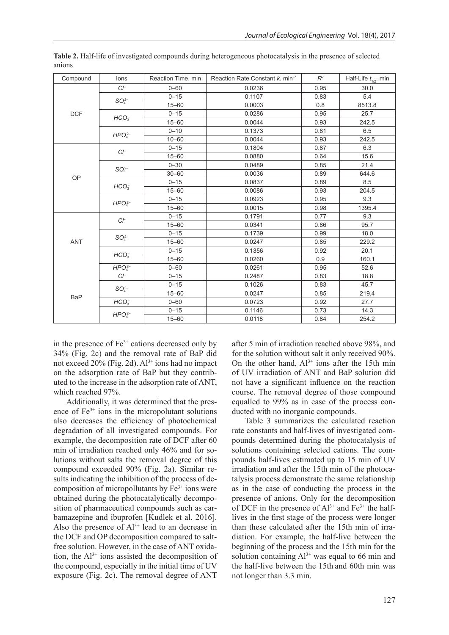| Compound   | lons                           | Reaction Time. min | Reaction Rate Constant k. min <sup>-1</sup> | $R^2$ | Half-Life $t_{1/2}$ . min |
|------------|--------------------------------|--------------------|---------------------------------------------|-------|---------------------------|
| <b>DCF</b> | Cf                             | $0 - 60$           | 0.0236                                      | 0.95  | 30.0                      |
|            | $SO_4^{2-}$                    | $0 - 15$           | 0.1107                                      | 0.83  | 5.4                       |
|            |                                | $15 - 60$          | 0.0003                                      | 0.8   | 8513.8                    |
|            | HCO <sub>3</sub>               | $0 - 15$           | 0.0286                                      | 0.95  | 25.7                      |
|            |                                | $15 - 60$          | 0.0044                                      | 0.93  | 242.5                     |
|            | $HPO42-$                       | $0 - 10$           | 0.1373                                      | 0.81  | 6.5                       |
|            |                                | $10 - 60$          | 0.0044                                      | 0.93  | 242.5                     |
| OP         | $C \vdash$                     | $0 - 15$           | 0.1804                                      | 0.87  | 6.3                       |
|            |                                | $15 - 60$          | 0.0880                                      | 0.64  | 15.6                      |
|            | $SO_{4}^{2-}$                  | $0 - 30$           | 0.0489                                      | 0.85  | 21.4                      |
|            |                                | $30 - 60$          | 0.0036                                      | 0.89  | 644.6                     |
|            |                                | $0 - 15$           | 0.0837                                      | 0.89  | 8.5                       |
|            | HCO <sub>3</sub>               | $15 - 60$          | 0.0086                                      | 0.93  | 204.5                     |
|            | $HPO42-$                       | $0 - 15$           | 0.0923                                      | 0.95  | 9.3                       |
|            |                                | $15 - 60$          | 0.0015                                      | 0.98  | 1395.4                    |
| ANT        | $C \vdash$                     | $0 - 15$           | 0.1791                                      | 0.77  | 9.3                       |
|            |                                | $15 - 60$          | 0.0341                                      | 0.86  | 95.7                      |
|            | $SO_4^{2-}$                    | $0 - 15$           | 0.1739                                      | 0.99  | 18.0                      |
|            |                                | $15 - 60$          | 0.0247                                      | 0.85  | 229.2                     |
|            | HCO <sub>3</sub>               | $0 - 15$           | 0.1356                                      | 0.92  | 20.1                      |
|            |                                | $15 - 60$          | 0.0260                                      | 0.9   | 160.1                     |
|            | HPO <sub>4</sub> <sup>2–</sup> | $0 - 60$           | 0.0261                                      | 0.95  | 52.6                      |
|            | $C\vdash$                      | $0 - 15$           | 0.2487                                      | 0.83  | 18.8                      |
| <b>BaP</b> | $SO_{4}^{2-}$                  | $0 - 15$           | 0.1026                                      | 0.83  | 45.7                      |
|            |                                | $15 - 60$          | 0.0247                                      | 0.85  | 219.4                     |
|            | HCO <sub>3</sub>               | $0 - 60$           | 0.0723                                      | 0.92  | 27.7                      |
|            | HPO <sub>4</sub> <sup>2–</sup> | $0 - 15$           | 0.1146                                      | 0.73  | 14.3                      |
|            |                                | $15 - 60$          | 0.0118                                      | 0.84  | 254.2                     |

**Table 2.** Half-life of investigated compounds during heterogeneous photocatalysis in the presence of selected anions

in the presence of  $Fe<sup>3+</sup>$  cations decreased only by 34% (Fig. 2c) and the removal rate of BaP did not exceed  $20\%$  (Fig. 2d).  $Al^{3+}$  ions had no impact on the adsorption rate of BaP but they contributed to the increase in the adsorption rate of ANT, which reached 97%.

Additionally, it was determined that the presence of  $Fe<sup>3+</sup>$  ions in the micropolutant solutions also decreases the efficiency of photochemical degradation of all investigated compounds. For example, the decomposition rate of DCF after 60 min of irradiation reached only 46% and for solutions without salts the removal degree of this compound exceeded 90% (Fig. 2a). Similar results indicating the inhibition of the process of decomposition of micropollutants by  $Fe<sup>3+</sup>$  ions were obtained during the photocatalytically decomposition of pharmaceutical compounds such as carbamazepine and ibuprofen [Kudlek et al. 2016]. Also the presence of  $Al^{3+}$  lead to an decrease in the DCF and OP decomposition compared to saltfree solution. However, in the case of ANT oxidation, the  $Al^{3+}$  ions assisted the decomposition of the compound, especially in the initial time of UV exposure (Fig. 2c). The removal degree of ANT after 5 min of irradiation reached above 98%, and for the solution without salt it only received 90%. On the other hand,  $Al^{3+}$  ions after the 15th min of UV irradiation of ANT and BaP solution did not have a significant influence on the reaction course. The removal degree of those compound equalled to 99% as in case of the process conducted with no inorganic compounds.

Table 3 summarizes the calculated reaction rate constants and half-lives of investigated compounds determined during the photocatalysis of solutions containing selected cations. The compounds half-lives estimated up to 15 min of UV irradiation and after the 15th min of the photocatalysis process demonstrate the same relationship as in the case of conducting the process in the presence of anions. Only for the decomposition of DCF in the presence of  $Al^{3+}$  and  $Fe^{3+}$  the halflives in the first stage of the process were longer than these calculated after the 15th min of irradiation. For example, the half-live between the beginning of the process and the 15th min for the solution containing  $Al^{3+}$  was equal to 66 min and the half-live between the 15th and 60th min was not longer than 3.3 min.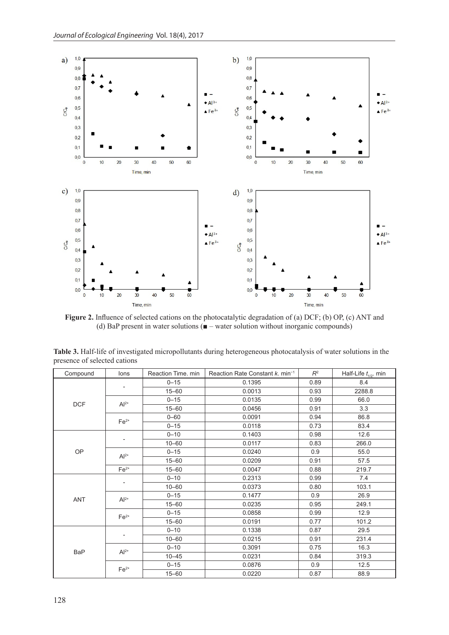

**Figure 2.** Influence of selected cations on the photocatalytic degradation of (a) DCF; (b) OP, (c) ANT and (d) BaP present in water solutions ( $\blacksquare$  – water solution without inorganic compounds)

| Compound   | lons           | Reaction Time, min | Reaction Rate Constant k. min <sup>-1</sup> | $R^2$ | Half-Life $t_{1/2}$ . min |
|------------|----------------|--------------------|---------------------------------------------|-------|---------------------------|
| <b>DCF</b> |                | $0 - 15$           | 0.1395                                      | 0.89  | 8.4                       |
|            |                | $15 - 60$          | 0.0013                                      | 0.93  | 2288.8                    |
|            | $Al^{2+}$      | $0 - 15$           | 0.0135                                      | 0.99  | 66.0                      |
|            |                | $15 - 60$          | 0.0456                                      | 0.91  | 3.3                       |
|            | $Fe2+$         | $0 - 60$           | 0.0091                                      | 0.94  | 86.8                      |
|            |                | $0 - 15$           | 0.0118                                      | 0.73  | 83.4                      |
| OP         |                | $0 - 10$           | 0.1403                                      | 0.98  | 12.6                      |
|            | $\overline{a}$ | $10 - 60$          | 0.0117                                      | 0.83  | 266.0                     |
|            | $Al^{2+}$      | $0 - 15$           | 0.0240                                      | 0.9   | 55.0                      |
|            |                | $15 - 60$          | 0.0209                                      | 0.91  | 57.5                      |
|            | $Fe2+$         | $15 - 60$          | 0.0047                                      | 0.88  | 219.7                     |
| <b>ANT</b> | $\overline{a}$ | $0 - 10$           | 0.2313                                      | 0.99  | 7.4                       |
|            |                | $10 - 60$          | 0.0373                                      | 0.80  | 103.1                     |
|            | $Al^{2+}$      | $0 - 15$           | 0.1477                                      | 0.9   | 26.9                      |
|            |                | $15 - 60$          | 0.0235                                      | 0.95  | 249.1                     |
|            | $Fe2+$         | $0 - 15$           | 0.0858                                      | 0.99  | 12.9                      |
|            |                | $15 - 60$          | 0.0191                                      | 0.77  | 101.2                     |
| <b>BaP</b> |                | $0 - 10$           | 0.1338                                      | 0.87  | 29.5                      |
|            |                | $10 - 60$          | 0.0215                                      | 0.91  | 231.4                     |
|            | $Al^{2+}$      | $0 - 10$           | 0.3091                                      | 0.75  | 16.3                      |
|            |                | $10 - 45$          | 0.0231                                      | 0.84  | 319.3                     |
|            | $Fe2+$         | $0 - 15$           | 0.0876                                      | 0.9   | 12.5                      |
|            |                | $15 - 60$          | 0.0220                                      | 0.87  | 88.9                      |

**Table 3.** Half-life of investigated micropollutants during heterogeneous photocatalysis of water solutions in the presence of selected cations